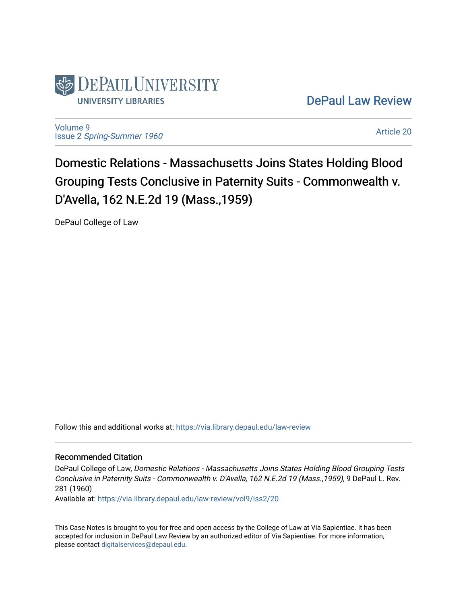

[DePaul Law Review](https://via.library.depaul.edu/law-review) 

[Volume 9](https://via.library.depaul.edu/law-review/vol9) Issue 2 [Spring-Summer 1960](https://via.library.depaul.edu/law-review/vol9/iss2) 

[Article 20](https://via.library.depaul.edu/law-review/vol9/iss2/20) 

Domestic Relations - Massachusetts Joins States Holding Blood Grouping Tests Conclusive in Paternity Suits - Commonwealth v. D'Avella, 162 N.E.2d 19 (Mass.,1959)

DePaul College of Law

Follow this and additional works at: [https://via.library.depaul.edu/law-review](https://via.library.depaul.edu/law-review?utm_source=via.library.depaul.edu%2Flaw-review%2Fvol9%2Fiss2%2F20&utm_medium=PDF&utm_campaign=PDFCoverPages) 

# Recommended Citation

DePaul College of Law, Domestic Relations - Massachusetts Joins States Holding Blood Grouping Tests Conclusive in Paternity Suits - Commonwealth v. D'Avella, 162 N.E.2d 19 (Mass.,1959), 9 DePaul L. Rev. 281 (1960)

Available at: [https://via.library.depaul.edu/law-review/vol9/iss2/20](https://via.library.depaul.edu/law-review/vol9/iss2/20?utm_source=via.library.depaul.edu%2Flaw-review%2Fvol9%2Fiss2%2F20&utm_medium=PDF&utm_campaign=PDFCoverPages) 

This Case Notes is brought to you for free and open access by the College of Law at Via Sapientiae. It has been accepted for inclusion in DePaul Law Review by an authorized editor of Via Sapientiae. For more information, please contact [digitalservices@depaul.edu.](mailto:digitalservices@depaul.edu)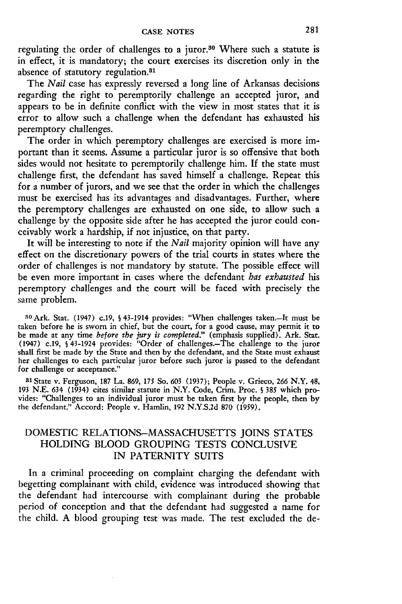regulating the order of challenges to a juror.<sup>30</sup> Where such a statute is in effect, it is mandatory; the court exercises its discretion only in the absence of statutory regulation.<sup>81</sup>

The *Nail* case has expressly reversed a long line of Arkansas decisions regarding the right to peremptorily challenge an accepted juror, and appears to be in definite conflict with the view in most states that it is error to allow such a challenge when the defendant has exhausted his peremptory challenges.

The order in which peremptory challenges are exercised is more important than it seems. Assume a particular juror is so offensive that both sides would not hesitate to peremptorily challenge him. If the state must challenge first, the defendant has saved himself a challenge. Repeat this for a number of jurors, and we see that the order in which the challenges must be exercised has its advantages and disadvantages. Further, where the peremptory challenges are exhausted on one side, to allow such a challenge by the opposite side after he has accepted the juror could conceivably work a hardship, if not injustice, on that party.

It will be interesting to note if the *Nail* majority opinion will have any effect on the discretionary powers of the trial courts in states where the order of challenges is not mandatory by statute. The possible effect will be even more important in cases where the defendant *has exhausted his* peremptory challenges and the court will be faced with precisely the same problem.

**<sup>30</sup>**Ark. Stat. (1947) c.19, **S** 43-1914 provides: "When challenges taken.-It must be taken before he is sworn in chief, but the court, for a good cause, may permit it to be made at any time *before the jury is completed."* (emphasis supplied). Ark. Stat. (1947) c.19, **§** 43-1924 provides: "Order of challenges.-The challenge to the juror shall first be made by the State and then by the defendant, and the State must exhaust shall first be made by the State and then by the defendant, and the State must exhaust her challenges to each particular juror before such juror is passed to the defendant for challenge or acceptance."

**<sup>81</sup>**State v. Ferguson, 187 La. 869, *175* So. 603 (1937); People v. Grieco, 266 N.Y. 48, 193 N.E. 634 (1934) cites similar statute in N.Y. Code, Crim. Proc. § 385 which provides: "Challenges to an individual juror must be taken first by the people, then by the defendant." Accord: People v. Hamlin, 192 N.Y.S.2d 870 (1959).

# DOMESTIC RELATIONS-MASSACHUSETTS JOINS STATES HOLDING BLOOD GROUPING TESTS CONCLUSIVE IN PATERNITY SUITS

In a criminal proceeding on complaint charging the defendant with begetting complainant with child, evidence was introduced showing that the defendant had intercourse with complainant during the probable period of conception and that the defendant had suggested a name for the child. A blood grouping test was made. The test excluded the de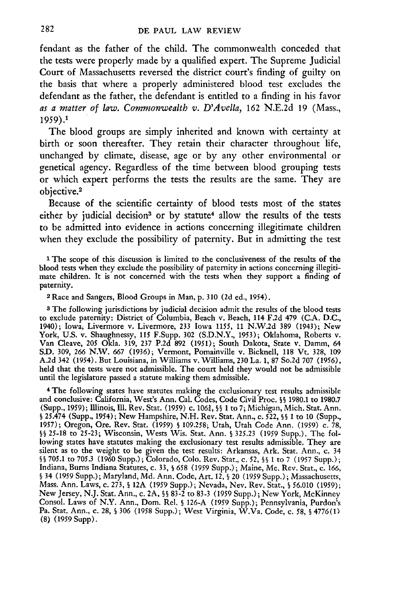fendant as the father of the child. The commonwealth conceded that the tests were properly made by a qualified expert. The Supreme Judicial Court of Massachusetts reversed the district court's finding of guilty on the basis that where a properly administered blood test excludes the defendant as the father, the defendant is entitled to a finding in his favor *as a matter of law. Commonwealtb v. D'Avella,* 162 N.E.2d 19 (Mass., 1959). <sup>1</sup>

The blood groups are simply inherited and known with certainty at birth or soon thereafter. They retain their character throughout life, unchanged by climate, disease, age or by any other environmental or genetical agency. Regardless of the time between blood grouping tests or which expert performs the tests the results are the same. They are objective.<sup>2</sup>

Because of the scientific certainty of blood tests most of the states either by judicial decision<sup>3</sup> or by statute<sup>4</sup> allow the results of the tests to be admitted into evidence in actions concerning illegitimate children when they exclude the possibility of paternity. But in admitting the test

<sup>1</sup> The scope of this discussion is limited to the conclusiveness of the results of the blood tests when they exclude the possibility of paternity in actions concerning illegitimate children. It is not concerned with the tests when they support a finding of paternity.

**2Race** and Sangers, Blood Groups in Man, p. 310 (2d ed., 1954).

**8** The following jurisdictions by judicial decision admit the results of the blood tests to exclude paternity: District of Columbia, Beach v. Beach, 114 F.2d 479 (C.A. D.C., 1940); Iowa, Livermore v. Livermore, 233 Iowa *1155,* **11** N.W.2d 389 (1943); New York, U.S. v. Shaughnessy, **115** F.Supp. 302 (S.D.N.Y., 1953); Oklahoma, Roberts v. Van Cleave, 205 Okla. 319, 237 P.2d 892 (1951); South Dakota, State v. Damm, 64 S.D. 309, *266* N.W. *667* (1936); Vermont, Pomainville v. Bicknell, **118** Vt. 328, 109 A.2d 342 (1954). But Louisiana, in Williams v. Williams, 230 La. 1, 87 So.2d 707 (1956), held that the tests were not admissible. The court held they would not be admissible until the legislature passed a statute making them admissible.

4The following states have statutes making the exclusionary test results admissible and conclusive: California, West's Ann. Cal. Codes, Code Civil Proc. **§§** 1980.1 to 1980.7 (Supp., 1959); Illinois, 111. Rev. Stat. (1959) c. 106J, **§§** 1 to 7; Michigan, Mich. Stat. Ann. **S** 25.474 (Supp., 1954); New Hampshire, N.H. Rev. Stat. Ann., c. 522, **§§** 1 to 10 (Supp., **1957);** Oregon, Ore. Rev. Stat. (1959) **S** 109.258; Utah, Utah Code Ann. (1959) c. 78, **§§** 25-18 to 25-23; Wisconsin, Wests Wis. Stat. Ann. **§** 325.23 (1959 Supp.). The following states have statutes making the exclusionary test results admissible. They are silent as to the weight to be given the test results: Arkansas, Ark. Stat. Ann., c. 34 **§§** 705.1 to 705.3 (1960 Supp.); Colorado, **Colo.** Rev. Stat., c. *52,* **§§** 1 to 7 (1957 Supp.); Indiana, Burns Indiana Statutes, c. **33, §** 658 (1959 Supp.); Maine, Me. Rev. Stat., c. 166, **§** 34 (1959 Supp.); Maryland, **Md.** Ann. Code, Art. 12, **§** 20 (1959 Supp.); Massachusetts, Mass. Ann. Laws, c. **273, §** 12A (1959 Supp.); Nevada, Nev. Rev. Stat., **§** 56.010 (1959); New Jersey, N.J. Stat. Ann., c. 2A, **§§** 83-2 to 83-3 (1959 Supp.); New York, McKinney Consol. Laws of N.Y. Ann., Dom. Rel. **§** 126-A (1959 Supp.); Pennsylvania, Purdon's Pa. Stat. Ann., c. 28, **S** 306 (1958 Supp.); West Virginia, W.Va. Code, c. 58, **§** 4776(1) (8) (1959 Supp).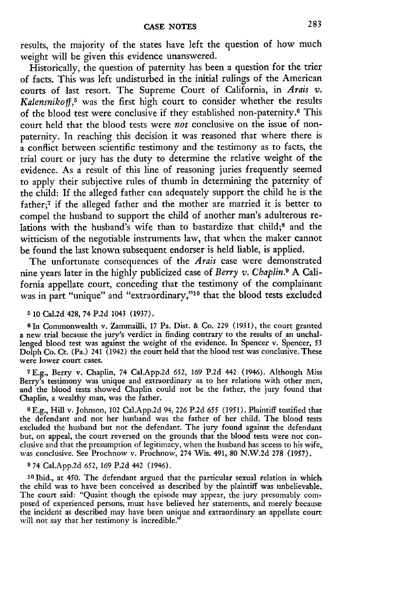results, the majority of the states have left the question of how much weight will be given this evidence unanswered.

Historically, the question of paternity has been a question for the trier of facts. This was left undisturbed in the initial rulings of the American courts of last resort. The Supreme Court of California, in *Arais v.* Kalensnikoff,<sup>5</sup> was the first high court to consider whether the results of the blood test were conclusive if they established non-paternity.<sup>6</sup> This court held that the blood tests were *not* conclusive on the issue of nonpaternity. In reaching this decision it was reasoned that where there is a conflict between scientific testimony and the testimony as to facts, the trial court or jury has the duty to determine the relative weight of the evidence. As a result of this line of reasoning juries frequently seemed to apply their subjective rules of thumb in determining the paternity of the child: If the alleged father can adequately support the child he is the father;7 if the alleged father and the mother are married it is better to compel the husband to support the child of another man's adulterous relations with the husband's wife than to bastardize that child;<sup>8</sup> and the witticism of the negotiable instruments law, that when the maker cannot be found the last known subsequent endorser is held liable, is applied.

The unfortunate consequences of the *Arais* case were demonstrated nine years later in the highly publicized case of *Berry v. Chaplin.9* **A** California appellate court, conceding that the testimony of the complainant was in part "unique" and "extraordinary,"<sup>10</sup> that the blood tests excluded

### **5** 10 Cal.2d 428, 74 P.2d 1043 (1937).

**<sup>6</sup>**In Commonwealth v. Zammailli, 17 Pa. Dist. & Co. 229 (1931), the court granted a new trial because the jury's verdict in finding contrary to the results of an unchallenged blood test was against the weight of the evidence. In Spencer v. Spencer, 53 Dolph Co. Ct. (Pa.) 241 (1942) the court held that the blood test was conclusive. These were lower court cases.

**7E.g.,** Berry v. Chaplin, 74 CalApp.2d 652, 169 P.2d 442 (1946). Although Miss Berry's testimony was unique and extraordinary as to her relations with other men, and the blood tests showed Chaplin could not be the father, the jury found that Chaplin, a wealthy man, was the father.

**8 E.g.,** Hill v. Johnson, 102 Cal.App.2d 94, **226 P.2d** *655* **(1951).** Plaintiff testified that the defendant and not her husband was the father of her child. The blood tests excluded the husband but not the defendant. The jury found against the defendant but, on appeal, the court reversed on the grounds that the **blood** tests were not conclusive and that the presumption of legitimacy, when the husband has access to his wife,, **was** conclusive. See Prochnow v. Prochnow, 274 Wis. 491, **80 N.W.2d 278 (1957).**

#### **9** 74 Cal.App.2d *652,* **169 P.2d** 442 (1946).

**<sup>10</sup>**Ibid., at 450. The defendant argued that the particular sexual relation in which the child was to have been conceived as described **by** the plaintiff was unbelievable.. The court said: "Quaint though the episode may appear, the jury presumably composed of experienced persons, must have believed her statements, and merely because the incident as described may have been unique and extraordinary an appellate court. will not say that her testimony is incredible."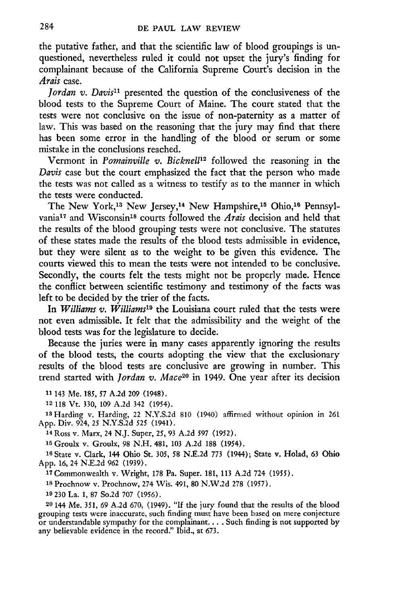the putative father, and that the scientific law of blood groupings is unquestioned, nevertheless ruled it could not upset the jury's finding for complainant because of the California Supreme Court's decision in the *Arais* case.

*Jordan v. Davis"* presented the question of the conclusiveness of the blood tests to the Supreme Court of Maine. The court stated that the tests were not conclusive on the issue of non-paternity as a matter of law. This was based on the reasoning that the jury may find that there has been some error in the handling of the blood or serum or some mistake in the conclusions reached.

Vermont in *Pomainville v. Bicknel112* followed the reasoning in the *Davis* case but the court emphasized the fact that the person who made the tests was not called as a witness to testify as to the manner in which the tests were conducted.

The New York,<sup>13</sup> New Jersey,<sup>14</sup> New Hampshire,<sup>15</sup> Ohio,<sup>16</sup> Pennsylvania<sup>17</sup> and Wisconsin<sup>18</sup> courts followed the *Arais* decision and held that the results of the blood grouping tests were not conclusive. The statutes of these states made the results of the blood tests admissible in evidence, but they were silent as to the weight to be given this evidence. The courts viewed this to mean the tests were not intended to be conclusive. Secondly, the courts felt the tests might not be properly made. Hence the conflict between scientific testimony and testimony of the facts was left to be decided by the trier of the facts.

In *Williams v. Williams19* the Louisiana court ruled that the tests were not even admissible. It felt that the admissibility and the weight of the blood tests was for the legislature to decide.

Because the juries were in many cases apparently ignoring the results of the blood tests, the courts adopting the view that the exclusionary results of the blood tests are conclusive are growing in number. This trend started with *Jordan v. Mace20* in 1949. One year after its decision

**<sup>11</sup>**143 Me. **185,** *57* **A.2d 209** (1948).

12 118 Vt. 330, 109 A.2d 342 (1954).

18Harding v. Harding, 22 N.Y.S.2d 810 (1940) affirmed without opinion in 261 App. Div. 924, **25** N.Y.S.2d **525** (1941).

1 <sup>4</sup> Ross v. Marx, 24 **N.J.** Super, **25, 93** A.2d 597 (1952).

15 Groulx v. Groulx, **98 N.H.** 481, **103** A.2d **188** (1954).

**16** State v. Clark, 144 Ohio St. **305, 58** N.E.2d **773** (1944); State v. Holad, 63 Ohio App. 16, 24 N.E.2d 962 **(1939).**

**<sup>17</sup>**Commonwealth v. Wright, **178** Pa. Super. 181, **113** A.2d 724 **(1955).**

**<sup>18</sup>**Prochnow v. Prochnow, 274 Wis. 491, **80** N.W.2d **278** (1957).

**19** 230 La. 1, **87** So.2d 707 (1956).

**20** 144 Me. **351,** 69 A.2d 670, (1949). **"If** the jury found that the results of the blood grouping tests were inaccurate, such finding must have been based on mere conjecture or understandable sympathy for the complainant... . Such finding is not supported by any believable evidence in the record." Ibid., at **673.**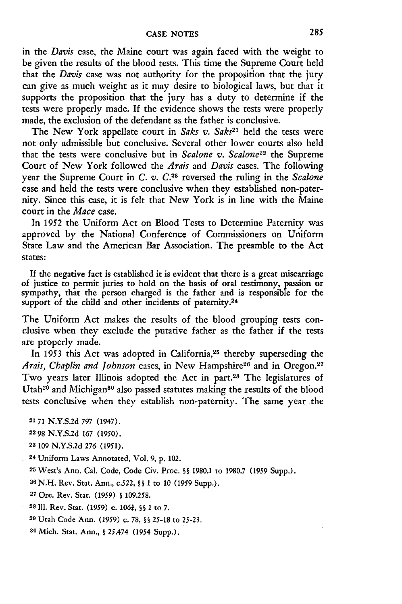in the *Davis* case, the Maine court was again faced with the weight to be given the results of the blood tests. This time the Supreme Court held that the *Davis* case was not authority for the proposition that the jury can give as much weight as it may desire to biological laws, but that it supports the proposition that the jury has a duty to determine if the tests were properly made. If the evidence shows the tests were properly made, the exclusion of the defendant as the father is conclusive.

The New York appellate court in *Saks v. Saks21* held the tests were not only admissible but conclusive. Several other lower courts also held that the tests were conclusive but in *Scalone v. Scalone22* the Supreme Court of New York followed the *Arais* and *Davis* cases. The following year the Supreme Court in C. v. C.<sup>23</sup> reversed the ruling in the *Scalone* case and held the tests were conclusive when they established non-paternity. Since this case, it is felt that New York is in line with the Maine court in the *Mace* case.

In 1952 the Uniform Act on Blood Tests to Determine Paternity was approved by the National Conference of Commissioners on Uniform State Law and the American Bar Association. The preamble to the Act states:

If the negative fact is established it is evident that there is a great miscarriage of justice to permit juries to hold on the basis of oral testimony, passion or sympathy, that the person charged is the father and is responsible for the support of the child and other incidents of paternity.<sup>24</sup>

The Uniform Act makes the results of the blood grouping tests conclusive when they exclude the putative father as the father if the tests are properly made.

In 1953 this Act was adopted in California,<sup>25</sup> thereby superseding the Arais, Chaplin and Johnson cases, in New Hampshire<sup>26</sup> and in Oregon.<sup>27</sup> Two years later Illinois adopted the Act in part.<sup>28</sup> The legislatures of Utah<sup>29</sup> and Michigan<sup>80</sup> also passed statutes making the results of the blood tests conclusive when they establish non-paternity. The same year the

**2171** N.Y.S.2d 797 (1947).

**2298** N.Y.S.2d 167 (1950).

**23** 109 N.Y.S.2d 276 (1951).

**24** Uniform Laws Annotated, Vol. 9, p. 102.

**<sup>25</sup>**West's Ann. Cal. Code, Code Civ. Proc. **§§** 1980.1 to 1980.7 (1959 Supp.).

**<sup>26</sup>**N.H. Rev. Stat. Ann., c.522, **§§** 1 to 10 (1959 Supp.).

**<sup>27</sup>**Ore. Rev. Star. (1959) **§** 109.258.

**28111.** Rev. Stat. (1959) c. *1061,* **§§** 1 to **7.**

29 Utah Code Ann. (1959) c. 78, **§§** 25-18 to 25-23.

**30** Mich. Stat. Ann., **§** 25.474 (1954 Supp.).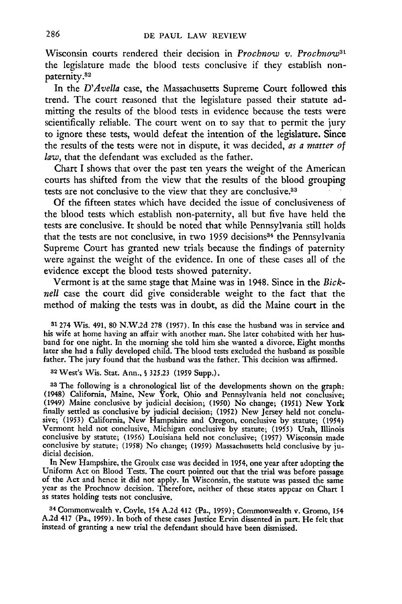Wisconsin courts rendered their decision in *Prochnow v. Prochnow3'* the legislature made the blood tests conclusive if they establish nonpaternity.82

In the *D'Avella* case, the Massachusetts Supreme Court followed this trend. The court reasoned that the legislature passed their statute admitting the results of the blood tests in evidence because the tests were scientifically reliable. The court went on to say that to permit the jury to ignore these tests, would defeat the intention of the legislature. Since the results of the tests were not in dispute, it was decided, *as a matter of* law, that the defendant was excluded as the father.

Chart **I** shows that over the past ten years the weight of the American courts has shifted from the view that the results of the blood grouping tests are not conclusive to the view that they are conclusive.<sup>33</sup>

**Of** the fifteen states which have decided the issue of conclusiveness of the blood tests which establish non-paternity, all but five have held the tests are conclusive. It should be noted that while Pennsylvania still holds that the tests are not conclusive, in two 1959 decisions<sup>34</sup> the Pennsylvania Supreme Court has granted new trials because the findings of paternity were against the weight of the evidence. In one of these cases all of the evidence except the blood tests showed paternity.

Vermont is at the same stage that Maine was in 1948. Since in the *Bicknell* case the court did give considerable weight to the fact that the method of making the tests was in doubt, as did the Maine court in the

**31274** Wis. 491, **80 N.W.2d 278 (1957). In** this case the husband was in service and his wife at home having an affair with another man. She later cohabited with her husband for one night. In the morning she told him she wanted a divorce. Eight months later she had a fully developed child. The blood tests excluded the husband as possible father. The jury found that the husband was the father. This decision was affirmed.

3 2 West's Wis. Stat. Ann., **§ 325.23 (1959** Supp.).

**<sup>33</sup>The** following is a chronological list of the developments shown on the graph: (1948) California, Maine, New York, Ohio and Pennsylvania held not conclusive; (1949) Maine conclusive **by** judicial decision; **(1950)** No change; **(1951)** New York finally settled as conclusive **by** judicial decision; **(1952)** New Jersey held not conclusive; **(1953)** California, New Hampshire and Oregon, conclusive **by** statute; (1954) Vermont held not conclusive, Michigan conclusive **by** statute; **(1955)** Utah, Illinois conclusive **by** statute; **(1956)** Louisiana held not conclusive; **(1957)** Wisconsin made conclusive **by** statute; **(1958)** No change; **(1959)** Massachusetts held conclusive **by** judicial decision.

In New Hampshire, the Groulx case was decided in 1954, one year after adopting the Uniform Act on Blood Tests. The court pointed out that the trial was before passage of the Act and hence it did not apply. In Wisconsin, the statute was passed the same year as the Prochnow decision. Therefore, neither of these states appear on Chart **I** as states holding tests not conclusive.

<sup>34</sup>**Commonwealth** v. Coyle, 154 **A.2d** 412 (Pa., **1959);** Commonwealth v. Gromo, 154 **A.2d** 417 (Pa., **1959).** In both of these cases Justice Ervin dissented in part. He felt that instead of granting a new trial the defendant should have been dismissed.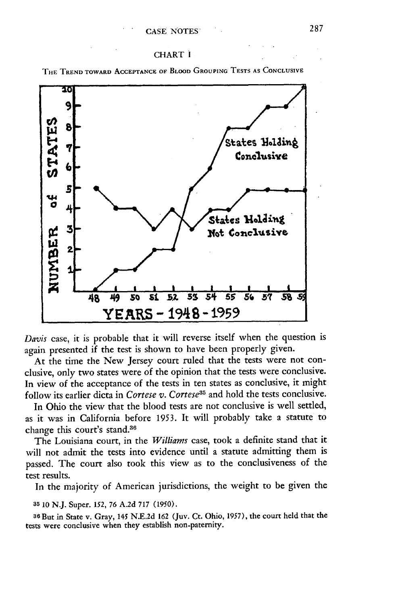### CHART I

**THE TREND TOWARD ACCEPTANCE OF BLOOD GROUPING TESTS AS CONCLUSIVE**



*Davis* case, it is probable that it will reverse itself when the question is again presented if the test is shown to have been properly given.

At the time the New Jersey court ruled that the tests were not conclusive, only two states were of the opinion that the tests were conclusive. In view of the acceptance of the tests in ten states as conclusive, it might follow its earlier dicta in *Cortese v. Cortese*<sup>35</sup> and hold the tests conclusive.

In Ohio the view that the blood tests are not conclusive is well settled, as it was in California before 1953. It will probably take a statute to change this court's stand.<sup>36</sup>

The Louisiana court, in the *Williams* case, took a definite stand that it will not admit the tests into evidence until a statute admitting them is passed. The court also took this view as to the conclusiveness of the test results.

In the majority of American jurisdictions, the weight to be given the

### **<sup>35</sup>**10 N.J. Super. 152, 76 A.2d 717 (1950).

**<sup>36</sup>**But in State **v.** Gray, *145* N.E.2d 162 (Juv. Ct. Ohio, 1957), the court held that the tests were conclusive when they establish non-paternity.